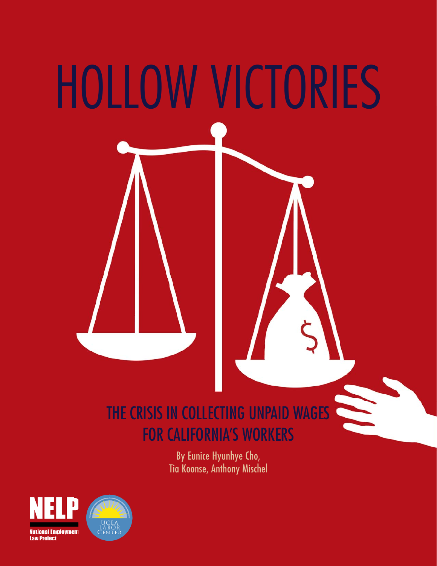

# THE CRISIS IN COLLECTING UNPAID WAGES FOR CALIFORNIA'S WORKERS

By Eunice Hyunhye Cho, Tia Koonse, Anthony Mischel

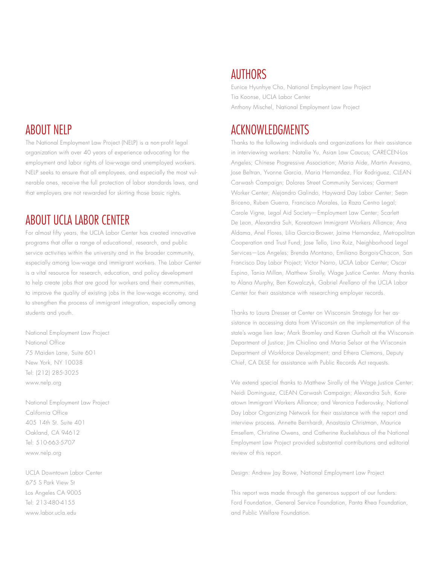# ABOUT NELP

The National Employment Law Project (NELP) is a non-profit legal organization with over 40 years of experience advocating for the employment and labor rights of low-wage and unemployed workers. NELP seeks to ensure that all employees, and especially the most vulnerable ones, receive the full protection of labor standards laws, and that employers are not rewarded for skirting those basic rights.

# ABOUT UCLA LABOR CENTER

For almost fifty years, the UCLA Labor Center has created innovative programs that offer a range of educational, research, and public service activities within the university and in the broader community, especially among low-wage and immigrant workers. The Labor Center is a vital resource for research, education, and policy development to help create jobs that are good for workers and their communities, to improve the quality of existing jobs in the low-wage economy, and to strengthen the process of immigrant integration, especially among students and youth.

National Employment Law Project National Office 75 Maiden Lane, Suite 601 New York, NY 10038 Tel: (212) 285-3025 www.nelp.org

National Employment Law Project California Office 405 14th St. Suite 401 Oakland, CA 94612 Tel: 510-663-5707 www.nelp.org

UCLA Downtown Labor Center 675 S Park View St Los Angeles CA 9005 Tel: 213-480-4155 www.labor.ucla.edu

# AUTHORS

Eunice Hyunhye Cho, National Employment Law Project Tia Koonse, UCLA Labor Center Anthony Mischel, National Employment Law Project

# ACKNOWLEDGMENTS

Thanks to the following individuals and organizations for their assistance in interviewing workers: Natalie Yu, Asian Law Caucus; CARECEN-Los Angeles; Chinese Progressive Association; Maria Aide, Martin Arevano, Jose Beltran, Yvonne Garcia, Maria Hernandez, Flor Rodriguez, CLEAN Carwash Campaign; Dolores Street Community Services; Garment Worker Center; Alejandro Galindo, Hayward Day Labor Center; Sean Briceno, Ruben Guerra, Francisco Morales, La Raza Centro Legal; Carole Vigne, Legal Aid Society—Employment Law Center; Scarlett De Leon, Alexandra Suh, Koreatown Immigrant Workers Alliance; Ana Aldama, Anel Flores, Lilia Garcia-Brower, Jaime Hernandez, Metropolitan Cooperation and Trust Fund; Jose Tello, Lino Ruiz, Neighborhood Legal Services—Los Angeles; Brenda Montano, Emiliano Borgois-Chacon, San Francisco Day Labor Project; Victor Narro, UCLA Labor Center; Oscar Espino, Tania Millan, Matthew Sirolly, Wage Justice Center. Many thanks to Alana Murphy, Ben Kowalczyk, Gabriel Arellano of the UCLA Labor Center for their assistance with researching employer records.

Thanks to Laura Dresser at Center on Wisconsin Strategy for her assistance in accessing data from Wisconsin on the implementation of the state's wage lien law; Mark Bromley and Karen Gurholt at the Wisconsin Department of Justice; Jim Chiolino and Maria Selsor at the Wisconsin Department of Workforce Development; and Ethera Clemons, Deputy Chief, CA DLSE for assistance with Public Records Act requests.

We extend special thanks to Matthew Sirolly of the Wage Justice Center; Neidi Dominguez, CLEAN Carwash Campaign; Alexandra Suh, Koreatown Immigrant Workers Alliance; and Veronica Federovsky, National Day Labor Organizing Network for their assistance with the report and interview process. Annette Bernhardt, Anastasia Christman, Maurice Emsellem, Christine Owens, and Catherine Ruckelshaus of the National Employment Law Project provided substantial contributions and editorial review of this report.

Design: Andrew Jay Bowe, National Employment Law Project

This report was made through the generous support of our funders: Ford Foundation, General Service Foundation, Panta Rhea Foundation, and Public Welfare Foundation.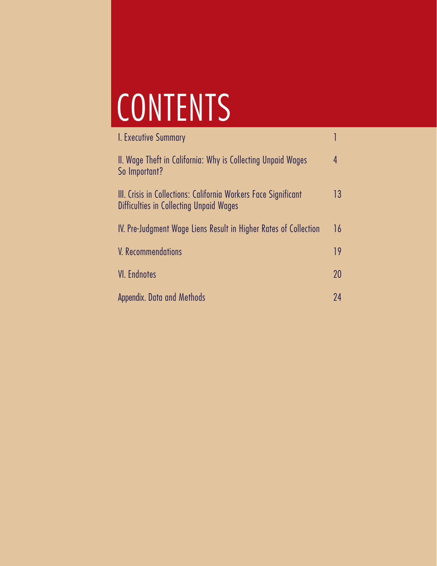# CONTENTS

| I. Executive Summary                                                                                       |    |
|------------------------------------------------------------------------------------------------------------|----|
| II. Wage Theft in California: Why is Collecting Unpaid Wages<br>So Important?                              | 4  |
| III. Crisis in Collections: California Workers Face Significant<br>Difficulties in Collecting Unpaid Wages | 13 |
| IV. Pre-Judgment Wage Liens Result in Higher Rates of Collection                                           | 16 |
| V. Recommendations                                                                                         | 19 |
| <b>VI.</b> Endnotes                                                                                        | 20 |
| Appendix. Data and Methods                                                                                 | 24 |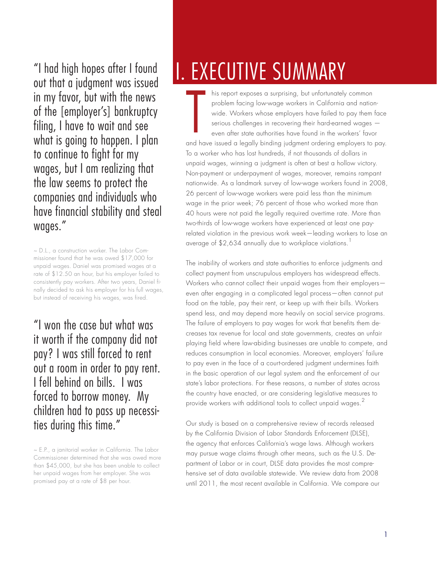"I had high hopes after I found out that a judgment was issued in my favor, but with the news of the [employer's] bankruptcy filing, I have to wait and see what is going to happen. I plan to continue to fight for my wages, but I am realizing that the law seems to protect the companies and individuals who have financial stability and steal wages."

~ D.L., a construction worker. The Labor Commissioner found that he was owed \$17,000 for unpaid wages. Daniel was promised wages at a rate of \$12.50 an hour, but his employer failed to consistently pay workers. After two years, Daniel finally decided to ask his employer for his full wages, but instead of receiving his wages, was fired.

"I won the case but what was it worth if the company did not pay? I was still forced to rent out a room in order to pay rent. I fell behind on bills. I was forced to borrow money. My children had to pass up necessities during this time."

# I. EXECUTIVE SUMMARY

his report exposes a surprising, but unfortunately common problem facing low-wage workers in California and nationwide. Workers whose employers have failed to pay them face serious challenges in recovering their hard-earned wages even after state authorities have found in the workers' favor and have issued a legally binding judgment ordering employers to pay. To a worker who has lost hundreds, if not thousands of dollars in unpaid wages, winning a judgment is often at best a hollow victory. Non-payment or underpayment of wages, moreover, remains rampant nationwide. As a landmark survey of low-wage workers found in 2008, 26 percent of low-wage workers were paid less than the minimum wage in the prior week; 76 percent of those who worked more than 40 hours were not paid the legally required overtime rate. More than two-thirds of low-wage workers have experienced at least one payrelated violation in the previous work week—leading workers to lose an average of \$2,634 annually due to workplace violations.<sup>1</sup>  $\mathbf{r}$ 

The inability of workers and state authorities to enforce judgments and collect payment from unscrupulous employers has widespread effects. Workers who cannot collect their unpaid wages from their employers even after engaging in a complicated legal process—often cannot put food on the table, pay their rent, or keep up with their bills. Workers spend less, and may depend more heavily on social service programs. The failure of employers to pay wages for work that benefits them decreases tax revenue for local and state governments, creates an unfair playing field where law-abiding businesses are unable to compete, and reduces consumption in local economies. Moreover, employers' failure to pay even in the face of a court-ordered judgment undermines faith in the basic operation of our legal system and the enforcement of our state's labor protections. For these reasons, a number of states across the country have enacted, or are considering legislative measures to provide workers with additional tools to collect unpaid wages.<sup>2</sup>

Our study is based on a comprehensive review of records released by the California Division of Labor Standards Enforcement (DLSE), the agency that enforces California's wage laws. Although workers may pursue wage claims through other means, such as the U.S. Department of Labor or in court, DLSE data provides the most comprehensive set of data available statewide. We review data from 2008 until 2011, the most recent available in California. We compare our

<sup>~</sup> E.P., a janitorial worker in California. The Labor Commissioner determined that she was owed more than \$45,000, but she has been unable to collect her unpaid wages from her employer. She was promised pay at a rate of \$8 per hour.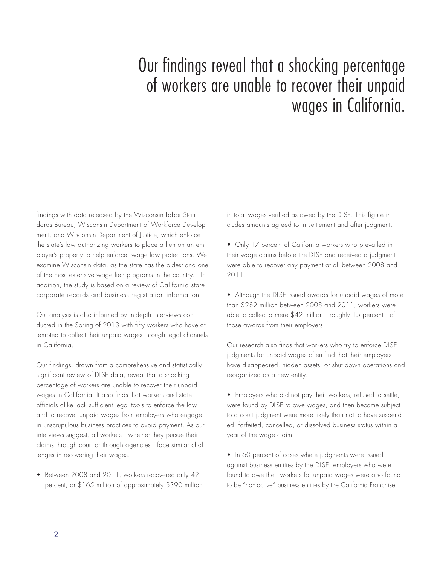# Our findings reveal that a shocking percentage of workers are unable to recover their unpaid wages in California.

findings with data released by the Wisconsin Labor Standards Bureau, Wisconsin Department of Workforce Development, and Wisconsin Department of Justice, which enforce the state's law authorizing workers to place a lien on an employer's property to help enforce wage law protections. We examine Wisconsin data, as the state has the oldest and one of the most extensive wage lien programs in the country. In addition, the study is based on a review of California state corporate records and business registration information.

Our analysis is also informed by in-depth interviews conducted in the Spring of 2013 with fifty workers who have attempted to collect their unpaid wages through legal channels in California.

Our findings, drawn from a comprehensive and statistically significant review of DLSE data, reveal that a shocking percentage of workers are unable to recover their unpaid wages in California. It also finds that workers and state officials alike lack sufficient legal tools to enforce the law and to recover unpaid wages from employers who engage in unscrupulous business practices to avoid payment. As our interviews suggest, all workers—whether they pursue their claims through court or through agencies—face similar challenges in recovering their wages.

• Between 2008 and 2011, workers recovered only 42 percent, or \$165 million of approximately \$390 million in total wages verified as owed by the DLSE. This figure includes amounts agreed to in settlement and after judgment.

- Only 17 percent of California workers who prevailed in their wage claims before the DLSE and received a judgment were able to recover any payment at all between 2008 and 2011.
- Although the DLSE issued awards for unpaid wages of more than \$282 million between 2008 and 2011, workers were able to collect a mere \$42 million—roughly 15 percent—of those awards from their employers.

Our research also finds that workers who try to enforce DLSE judgments for unpaid wages often find that their employers have disappeared, hidden assets, or shut down operations and reorganized as a new entity.

- Employers who did not pay their workers, refused to settle, were found by DLSE to owe wages, and then became subject to a court judgment were more likely than not to have suspended, forfeited, cancelled, or dissolved business status within a year of the wage claim.
- In 60 percent of cases where judgments were issued against business entities by the DLSE, employers who were found to owe their workers for unpaid wages were also found to be "non-active" business entities by the California Franchise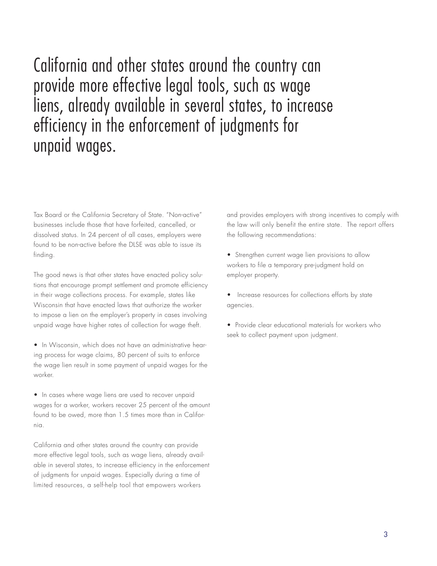California and other states around the country can provide more effective legal tools, such as wage liens, already available in several states, to increase efficiency in the enforcement of judgments for unpaid wages.

Tax Board or the California Secretary of State. "Non-active" businesses include those that have forfeited, cancelled, or dissolved status. In 24 percent of all cases, employers were found to be non-active before the DLSE was able to issue its finding.

The good news is that other states have enacted policy solutions that encourage prompt settlement and promote efficiency in their wage collections process. For example, states like Wisconsin that have enacted laws that authorize the worker to impose a lien on the employer's property in cases involving unpaid wage have higher rates of collection for wage theft.

• In Wisconsin, which does not have an administrative hearing process for wage claims, 80 percent of suits to enforce the wage lien result in some payment of unpaid wages for the worker.

• In cases where wage liens are used to recover unpaid wages for a worker, workers recover 25 percent of the amount found to be owed, more than 1.5 times more than in California.

California and other states around the country can provide more effective legal tools, such as wage liens, already available in several states, to increase efficiency in the enforcement of judgments for unpaid wages. Especially during a time of limited resources, a self-help tool that empowers workers

and provides employers with strong incentives to comply with the law will only benefit the entire state. The report offers the following recommendations:

• Strengthen current wage lien provisions to allow workers to file a temporary pre-judgment hold on employer property.

• Increase resources for collections efforts by state agencies.

• Provide clear educational materials for workers who seek to collect payment upon judgment.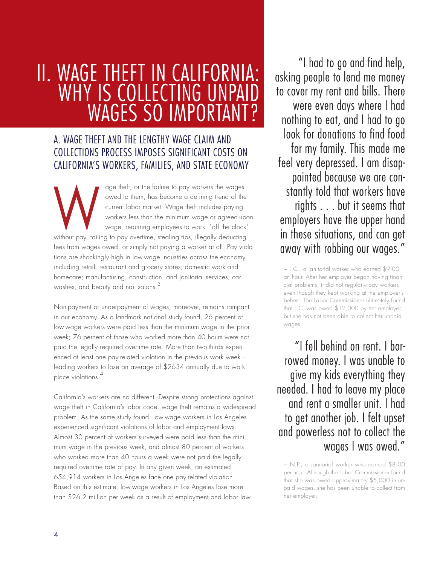# II. WAGE THEFT IN CALIFORNIA: WHY IS COLLECTING UNPA WAGES SO IMPORTAN

# A. WAGE THEFT AND THE LENGTHY WAGE CLAIM AND COLLECTIONS PROCESS IMPOSES SIGNIFICANT COSTS ON CALIFORNIA'S WORKERS, FAMILIES, AND STATE ECONOMY

age theft, or the failure to pay workers the wages owed to them, has become a defining trend of the current labor market. Wage theft includes paying workers less than the minimum wage or agreed-upon wage, requiring employees to work "off the clock" wed to them, has become a detining trend of the<br>current labor market. Wage theft includes paying<br>workers less than the minimum wage or agreed-upc<br>wage, requiring employees to work "off the clock"<br>without pay, failing to pa fees from wages owed, or simply not paying a worker at all. Pay violations are shockingly high in low-wage industries across the economy, including retail, restaurant and grocery stores; domestic work and homecare; manufacturing, construction, and janitorial services; car washes, and beauty and nail salons.<sup>3</sup>

Non-payment or underpayment of wages, moreover, remains rampant in our economy. As a landmark national study found, 26 percent of low-wage workers were paid less than the minimum wage in the prior week; 76 percent of those who worked more than 40 hours were not paid the legally required overtime rate. More than two-thirds experienced at least one pay-related violation in the previous work week leading workers to lose an average of \$2634 annually due to workplace violations.<sup>4</sup>

California's workers are no different. Despite strong protections against wage theft in California's labor code, wage theft remains a widespread problem. As the same study found, low-wage workers in Los Angeles experienced significant violations of labor and employment laws. Almost 30 percent of workers surveyed were paid less than the minimum wage in the previous week, and almost 80 percent of workers who worked more than 40 hours a week were not paid the legally required overtime rate of pay. In any given week, an estimated 654,914 workers in Los Angeles face one pay-related violation. Based on this estimate, low-wage workers in Los Angeles lose more than \$26.2 million per week as a result of employment and labor law

 "I had to go and find help, asking people to lend me money to cover my rent and bills. There were even days where I had nothing to eat, and I had to go look for donations to find food for my family. This made me feel very depressed. I am disappointed because we are constantly told that workers have rights . . . but it seems that employers have the upper hand in these situations, and can get away with robbing our wages."

~ L.C., a janitorial worker who earned \$9.00 an hour. After her employer began having financial problems, it did not regularly pay workers even though they kept working at the employer's behest. The Labor Commissioner ultimately found that L.C. was owed \$12,000 by her employer, but she has not been able to collect her unpaid wages.

"I fell behind on rent. I borrowed money. I was unable to give my kids everything they needed. I had to leave my place and rent a smaller unit. I had to get another job. I felt upset and powerless not to collect the wages I was owed."

~ N.P., a janitorial worker who earned \$8.00 per hour. Although the Labor Commissioner found that she was owed approximately \$5,000 in unpaid wages, she has been unable to collect from her employer.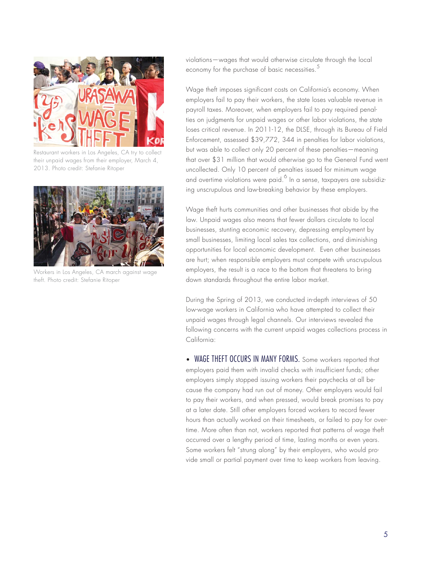

Restaurant workers in Los Angeles, CA try to collect their unpaid wages from their employer, March 4, 2013. Photo credit: Stefanie Ritoper



Workers in Los Angeles, CA march against wage theft. Photo credit: Stefanie Ritoper

violations—wages that would otherwise circulate through the local economy for the purchase of basic necessities.<sup>5</sup>

Wage theft imposes significant costs on California's economy. When employers fail to pay their workers, the state loses valuable revenue in payroll taxes. Moreover, when employers fail to pay required penalties on judgments for unpaid wages or other labor violations, the state loses critical revenue. In 2011-12, the DLSE, through its Bureau of Field Enforcement, assessed \$39,772, 344 in penalties for labor violations, but was able to collect only 20 percent of these penalties—meaning that over \$31 million that would otherwise go to the General Fund went uncollected. Only 10 percent of penalties issued for minimum wage and overtime violations were paid. $^6$  In a sense, taxpayers are subsidizing unscrupulous and law-breaking behavior by these employers.

Wage theft hurts communities and other businesses that abide by the law. Unpaid wages also means that fewer dollars circulate to local businesses, stunting economic recovery, depressing employment by small businesses, limiting local sales tax collections, and diminishing opportunities for local economic development. Even other businesses are hurt; when responsible employers must compete with unscrupulous employers, the result is a race to the bottom that threatens to bring down standards throughout the entire labor market.

During the Spring of 2013, we conducted in-depth interviews of 50 low-wage workers in California who have attempted to collect their unpaid wages through legal channels. Our interviews revealed the following concerns with the current unpaid wages collections process in California:

• WAGE THEFT OCCURS IN MANY FORMS. Some workers reported that employers paid them with invalid checks with insufficient funds; other employers simply stopped issuing workers their paychecks at all because the company had run out of money. Other employers would fail to pay their workers, and when pressed, would break promises to pay at a later date. Still other employers forced workers to record fewer hours than actually worked on their timesheets, or failed to pay for overtime. More often than not, workers reported that patterns of wage theft occurred over a lengthy period of time, lasting months or even years. Some workers felt "strung along" by their employers, who would provide small or partial payment over time to keep workers from leaving.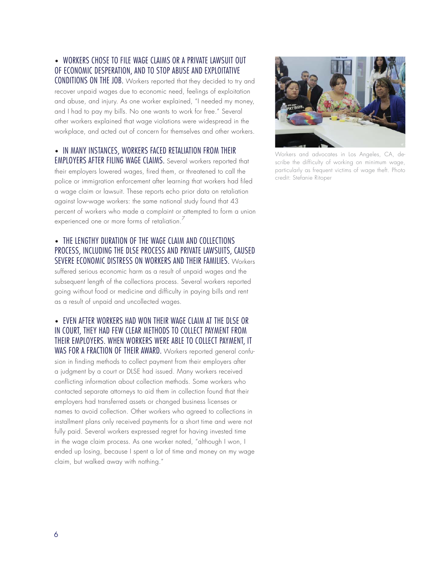#### • WORKERS CHOSE TO FILE WAGE CLAIMS OR A PRIVATE LAWSUIT OUT OF ECONOMIC DESPERATION, AND TO STOP ABUSE AND EXPLOITATIVE

CONDITIONS ON THE JOB. Workers reported that they decided to try and recover unpaid wages due to economic need, feelings of exploitation and abuse, and injury. As one worker explained, "I needed my money, and I had to pay my bills. No one wants to work for free." Several other workers explained that wage violations were widespread in the workplace, and acted out of concern for themselves and other workers.

#### • IN MANY INSTANCES, WORKERS FACED RETALIATION FROM THEIR EMPLOYERS AFTER FILING WAGE CLAIMS. Several workers reported that

their employers lowered wages, fired them, or threatened to call the police or immigration enforcement after learning that workers had filed a wage claim or lawsuit. These reports echo prior data on retaliation against low-wage workers: the same national study found that 43 percent of workers who made a complaint or attempted to form a union experienced one or more forms of retaliation.<sup>7</sup>

#### • THE LENGTHY DURATION OF THE WAGE CLAIM AND COLLECTIONS PROCESS, INCLUDING THE DLSE PROCESS AND PRIVATE LAWSUITS, CAUSED SEVERE ECONOMIC DISTRESS ON WORKERS AND THEIR FAMILIES. Workers

suffered serious economic harm as a result of unpaid wages and the subsequent length of the collections process. Several workers reported going without food or medicine and difficulty in paying bills and rent as a result of unpaid and uncollected wages.

#### • EVEN AFTER WORKERS HAD WON THEIR WAGE CLAIM AT THE DLSE OR IN COURT, THEY HAD FEW CLEAR METHODS TO COLLECT PAYMENT FROM THEIR EMPLOYERS. WHEN WORKERS WERE ABLE TO COLLECT PAYMENT, IT WAS FOR A FRACTION OF THEIR AWARD. Workers reported general confu-

sion in finding methods to collect payment from their employers after a judgment by a court or DLSE had issued. Many workers received conflicting information about collection methods. Some workers who contacted separate attorneys to aid them in collection found that their employers had transferred assets or changed business licenses or names to avoid collection. Other workers who agreed to collections in installment plans only received payments for a short time and were not fully paid. Several workers expressed regret for having invested time in the wage claim process. As one worker noted, "although I won, I ended up losing, because I spent a lot of time and money on my wage claim, but walked away with nothing."



Workers and advocates in Los Angeles, CA, describe the difficulty of working on minimum wage, particularly as frequent victims of wage theft. Photo credit: Stefanie Ritoper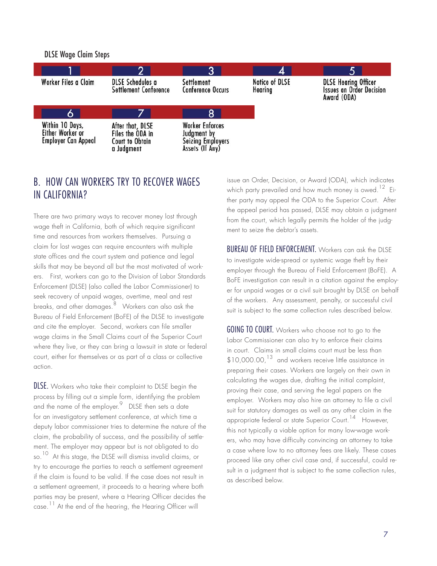DLSE Wage Claim Steps



### B. HOW CAN WORKERS TRY TO RECOVER WAGES IN CALIFORNIA?

There are two primary ways to recover money lost through wage theft in California, both of which require significant time and resources from workers themselves. Pursuing a claim for lost wages can require encounters with multiple state offices and the court system and patience and legal skills that may be beyond all but the most motivated of workers. First, workers can go to the Division of Labor Standards Enforcement (DLSE) (also called the Labor Commissioner) to seek recovery of unpaid wages, overtime, meal and rest breaks, and other damages.<sup>8</sup> Workers can also ask the Bureau of Field Enforcement (BoFE) of the DLSE to investigate and cite the employer. Second, workers can file smaller wage claims in the Small Claims court of the Superior Court where they live, or they can bring a lawsuit in state or federal court, either for themselves or as part of a class or collective action.

DLSE. Workers who take their complaint to DLSE begin the process by filling out a simple form, identifying the problem and the name of the employer.  $9$  DLSE then sets a date for an investigatory settlement conference, at which time a deputy labor commissioner tries to determine the nature of the claim, the probability of success, and the possibility of settlement. The employer may appear but is not obligated to do so.<sup>10</sup> At this stage, the DLSE will dismiss invalid claims, or try to encourage the parties to reach a settlement agreement if the claim is found to be valid. If the case does not result in a settlement agreement, it proceeds to a hearing where both parties may be present, where a Hearing Officer decides the case.<sup>11</sup> At the end of the hearing, the Hearing Officer will

issue an Order, Decision, or Award (ODA), which indicates which party prevailed and how much money is owed.<sup>12</sup> Either party may appeal the ODA to the Superior Court. After the appeal period has passed, DLSE may obtain a judgment from the court, which legally permits the holder of the judgment to seize the debtor's assets.

BUREAU OF FIELD ENFORCEMENT. Workers can ask the DLSE to investigate wide-spread or systemic wage theft by their employer through the Bureau of Field Enforcement (BoFE). A BoFE investigation can result in a citation against the employer for unpaid wages or a civil suit brought by DLSE on behalf of the workers. Any assessment, penalty, or successful civil suit is subject to the same collection rules described below.

GOING TO COURT. Workers who choose not to go to the Labor Commissioner can also try to enforce their claims in court. Claims in small claims court must be less than  $$10,000.00$ ,  $^{13}$  and workers receive little assistance in preparing their cases. Workers are largely on their own in calculating the wages due, drafting the initial complaint, proving their case, and serving the legal papers on the employer. Workers may also hire an attorney to file a civil suit for statutory damages as well as any other claim in the appropriate federal or state Superior Court.<sup>14</sup> However, this not typically a viable option for many low-wage workers, who may have difficulty convincing an attorney to take a case where low to no attorney fees are likely. These cases proceed like any other civil case and, if successful, could result in a judgment that is subject to the same collection rules, as described below.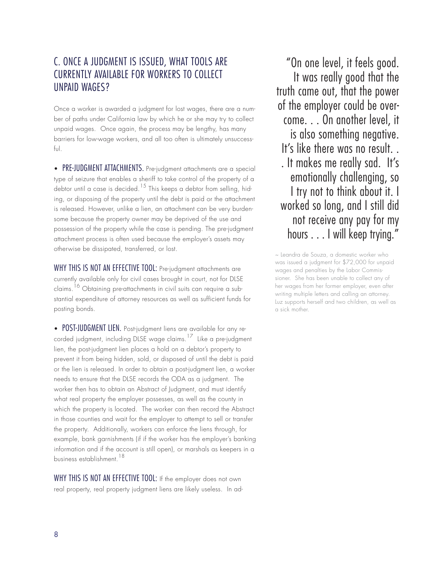### C. ONCE A JUDGMENT IS ISSUED, WHAT TOOLS ARE CURRENTLY AVAILABLE FOR WORKERS TO COLLECT UNPAID WAGES?

Once a worker is awarded a judgment for lost wages, there are a number of paths under California law by which he or she may try to collect unpaid wages. Once again, the process may be lengthy, has many barriers for low-wage workers, and all too often is ultimately unsuccessful.

• PRE-JUDGMENT ATTACHMENTS. Pre-judgment attachments are a special type of seizure that enables a sheriff to take control of the property of a debtor until a case is decided.<sup>15</sup> This keeps a debtor from selling, hiding, or disposing of the property until the debt is paid or the attachment is released. However, unlike a lien, an attachment can be very burdensome because the property owner may be deprived of the use and possession of the property while the case is pending. The pre-judgment attachment process is often used because the employer's assets may otherwise be dissipated, transferred, or lost.

WHY THIS IS NOT AN EFFECTIVE TOOL: Pre-judgment attachments are currently available only for civil cases brought in court, not for DLSE claims.<sup>16</sup> Obtaining pre-attachments in civil suits can require a substantial expenditure of attorney resources as well as sufficient funds for posting bonds.

• POST-JUDGMENT LIEN. Post-judgment liens are available for any re- $\frac{1}{2}$  corded judgment, including DLSE wage claims.<sup>17</sup> Like a pre-judgment lien, the post-judgment lien places a hold on a debtor's property to prevent it from being hidden, sold, or disposed of until the debt is paid or the lien is released. In order to obtain a post-judgment lien, a worker needs to ensure that the DLSE records the ODA as a judgment. The worker then has to obtain an Abstract of Judgment, and must identify what real property the employer possesses, as well as the county in which the property is located. The worker can then record the Abstract in those counties and wait for the employer to attempt to sell or transfer the property. Additionally, workers can enforce the liens through, for example, bank garnishments (if if the worker has the employer's banking information and if the account is still open), or marshals as keepers in a business establishment.18

WHY THIS IS NOT AN EFFECTIVE TOOL: If the employer does not own real property, real property judgment liens are likely useless. In ad-

"On one level, it feels good. It was really good that the truth came out, that the power of the employer could be overcome. . . On another level, it is also something negative. It's like there was no result. . . It makes me really sad. It's emotionally challenging, so I try not to think about it. I worked so long, and I still did not receive any pay for my hours . . . I will keep trying."

~ Leandra de Souza, a domestic worker who was issued a judgment for \$72,000 for unpaid wages and penalties by the Labor Commissioner. She has been unable to collect any of her wages from her former employer, even after writing multiple letters and calling an attorney. Luz supports herself and two children, as well as a sick mother.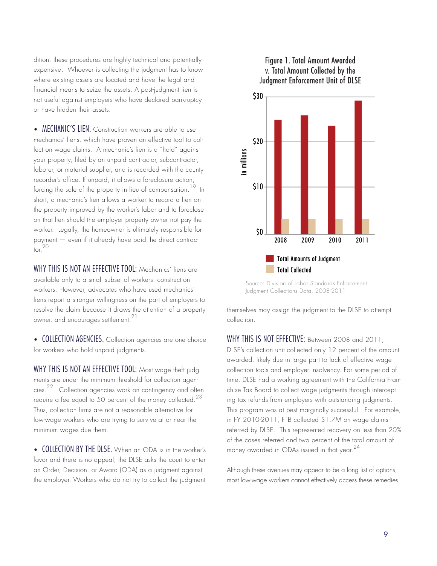dition, these procedures are highly technical and potentially expensive. Whoever is collecting the judgment has to know where existing assets are located and have the legal and financial means to seize the assets. A post-judgment lien is not useful against employers who have declared bankruptcy or have hidden their assets.

• **MECHANIC'S LIEN.** Construction workers are able to use mechanics' liens, which have proven an effective tool to collect on wage claims. A mechanic's lien is a "hold" against your property, filed by an unpaid contractor, subcontractor, laborer, or material supplier, and is recorded with the county recorder's office. If unpaid, it allows a foreclosure action, forcing the sale of the property in lieu of compensation.<sup>19</sup> In short, a mechanic's lien allows a worker to record a lien on the property improved by the worker's labor and to foreclose on that lien should the employer property owner not pay the worker. Legally, the homeowner is ultimately responsible for payment — even if it already have paid the direct contrac- $\frac{1}{10}$  20

WHY THIS IS NOT AN EFFECTIVE TOOL: Mechanics' liens are available only to a small subset of workers: construction workers. However, advocates who have used mechanics' liens report a stronger willingness on the part of employers to resolve the claim because it draws the attention of a property owner, and encourages settlement.<sup>21</sup>

• COLLECTION AGENCIES. Collection agencies are one choice for workers who hold unpaid judgments.

WHY THIS IS NOT AN EFFECTIVE TOOL: Most wage theft judgments are under the minimum threshold for collection agencies.<sup>22</sup> Collection agencies work on contingency and often require a fee equal to 50 percent of the money collected.<sup>23</sup> Thus, collection firms are not a reasonable alternative for low-wage workers who are trying to survive at or near the minimum wages due them.

• COLLECTION BY THE DLSE. When an ODA is in the worker's favor and there is no appeal, the DLSE asks the court to enter an Order, Decision, or Award (ODA) as a judgment against the employer. Workers who do not try to collect the judgment

#### Figure 1. Total Amount Awarded v. Total Amount Collected by the Judgment Enforcement Unit of DLSE



Source: Division of Labor Standards Enforcement Judgment Collections Data, 2008-2011

themselves may assign the judgment to the DLSE to attempt collection.

WHY THIS IS NOT EFFECTIVE: Between 2008 and 2011, DLSE's collection unit collected only 12 percent of the amount awarded, likely due in large part to lack of effective wage collection tools and employer insolvency. For some period of time, DLSE had a working agreement with the California Franchise Tax Board to collect wage judgments through intercepting tax refunds from employers with outstanding judgments. This program was at best marginally successful. For example, in FY 2010-2011, FTB collected \$1.7M on wage claims referred by DLSE. This represented recovery on less than 20% of the cases referred and two percent of the total amount of money awarded in ODAs issued in that year.<sup>24</sup>

Although these avenues may appear to be a long list of options, most low-wage workers cannot effectively access these remedies.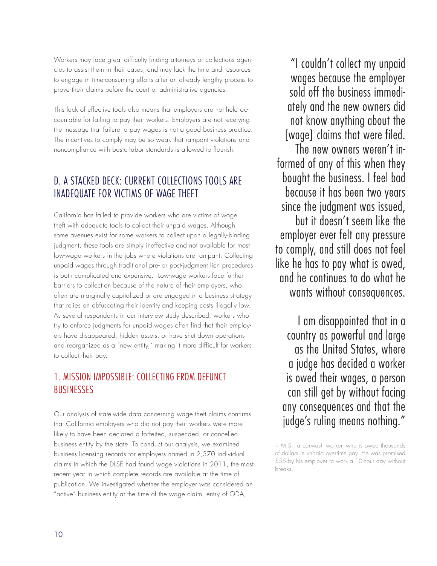Workers may face great difficulty finding attorneys or collections agencies to assist them in their cases, and may lack the time and resources to engage in time-consuming efforts after an already lengthy process to prove their claims before the court or administrative agencies.

This lack of effective tools also means that employers are not held accountable for failing to pay their workers. Employers are not receiving the message that failure to pay wages is not a good business practice. The incentives to comply may be so weak that rampant violations and noncompliance with basic labor standards is allowed to flourish.

# D. A STACKED DECK: CURRENT COLLECTIONS TOOLS ARE INADEQUATE FOR VICTIMS OF WAGE THEFT

California has failed to provide workers who are victims of wage theft with adequate tools to collect their unpaid wages. Although some avenues exist for some workers to collect upon a legally-binding judgment, these tools are simply ineffective and not available for most low-wage workers in the jobs where violations are rampant. Collecting unpaid wages through traditional pre- or post-judgment lien procedures is both complicated and expensive. Low-wage workers face further barriers to collection because of the nature of their employers, who often are marginally capitalized or are engaged in a business strategy that relies on obfuscating their identity and keeping costs illegally low. As several respondents in our interview study described, workers who try to enforce judgments for unpaid wages often find that their employers have disappeared, hidden assets, or have shut down operations and reorganized as a "new entity," making it more difficult for workers to collect their pay.

### 1. MISSION IMPOSSIBLE: COLLECTING FROM DEFUNCT **BUSINESSES**

Our analysis of state-wide data concerning wage theft claims confirms that California employers who did not pay their workers were more likely to have been declared a forfeited, suspended, or cancelled business entity by the state. To conduct our analysis, we examined business licensing records for employers named in 2,370 individual claims in which the DLSE had found wage violations in 2011, the most recent year in which complete records are available at the time of publication. We investigated whether the employer was considered an "active" business entity at the time of the wage claim, entry of ODA,

"I couldn't collect my unpaid wages because the employer sold off the business immediately and the new owners did not know anything about the [wage] claims that were filed.

The new owners weren't informed of any of this when they bought the business. I feel bad because it has been two years since the judgment was issued, but it doesn't seem like the employer ever felt any pressure to comply, and still does not feel like he has to pay what is owed, and he continues to do what he wants without consequences.

I am disappointed that in a country as powerful and large as the United States, where a judge has decided a worker is owed their wages, a person can still get by without facing any consequences and that the judge's ruling means nothing."

~ M.S., a carwash worker, who is owed thousands of dollars in unpaid overtime pay. He was promised \$55 by his employer to work a 10-hour day without breaks.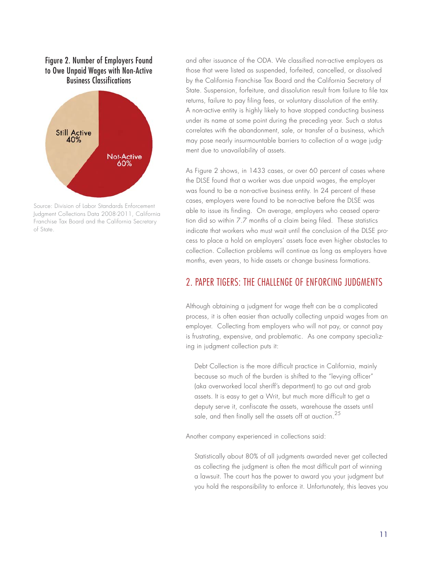

Source: Division of Labor Standards Enforcement Judgment Collections Data 2008-2011, California Franchise Tax Board and the California Secretary of State.

and after issuance of the ODA. We classified non-active employers as those that were listed as suspended, forfeited, cancelled, or dissolved by the California Franchise Tax Board and the California Secretary of State. Suspension, forfeiture, and dissolution result from failure to file tax returns, failure to pay filing fees, or voluntary dissolution of the entity. A non-active entity is highly likely to have stopped conducting business under its name at some point during the preceding year. Such a status correlates with the abandonment, sale, or transfer of a business, which may pose nearly insurmountable barriers to collection of a wage judgment due to unavailability of assets.

As Figure 2 shows, in 1433 cases, or over 60 percent of cases where the DLSE found that a worker was due unpaid wages, the employer was found to be a non-active business entity. In 24 percent of these cases, employers were found to be non-active before the DLSE was able to issue its finding. On average, employers who ceased operation did so within 7.7 months of a claim being filed. These statistics indicate that workers who must wait until the conclusion of the DLSE process to place a hold on employers' assets face even higher obstacles to collection. Collection problems will continue as long as employers have months, even years, to hide assets or change business formations.

#### 2. PAPER TIGERS: THE CHALLENGE OF ENFORCING JUDGMENTS

Although obtaining a judgment for wage theft can be a complicated process, it is often easier than actually collecting unpaid wages from an employer. Collecting from employers who will not pay, or cannot pay is frustrating, expensive, and problematic. As one company specializing in judgment collection puts it:

Debt Collection is the more difficult practice in California, mainly because so much of the burden is shifted to the "levying officer" (aka overworked local sheriff's department) to go out and grab assets. It is easy to get a Writ, but much more difficult to get a deputy serve it, confiscate the assets, warehouse the assets until sale, and then finally sell the assets off at auction.  $25$ 

Another company experienced in collections said:

Statistically about 80% of all judgments awarded never get collected as collecting the judgment is often the most difficult part of winning a lawsuit. The court has the power to award you your judgment but you hold the responsibility to enforce it. Unfortunately, this leaves you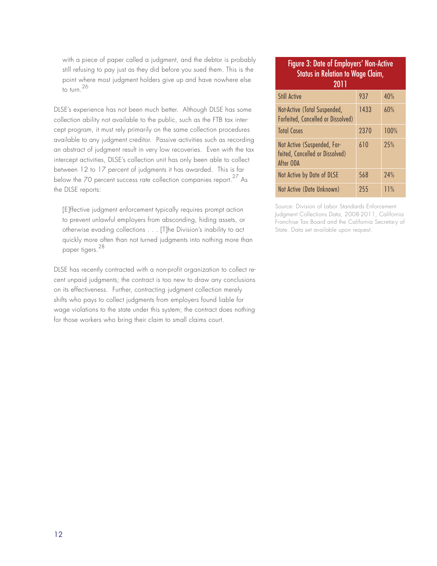with a piece of paper called a judgment, and the debtor is probably still refusing to pay just as they did before you sued them. This is the point where most judgment holders give up and have nowhere else to turn.<sup>26</sup>

DLSE's experience has not been much better. Although DLSE has some collection ability not available to the public, such as the FTB tax intercept program, it must rely primarily on the same collection procedures available to any judgment creditor. Passive activities such as recording an abstract of judgment result in very low recoveries. Even with the tax intercept activities, DLSE's collection unit has only been able to collect between 12 to 17 percent of judgments it has awarded. This is far below the 70 percent success rate collection companies report.<sup>27</sup> As the DLSE reports:

[E]ffective judgment enforcement typically requires prompt action to prevent unlawful employers from absconding, hiding assets, or otherwise evading collections . . . [T]he Division's inability to act quickly more often than not turned judgments into nothing more than paper tigers.<sup>28</sup>

DLSE has recently contracted with a non-profit organization to collect recent unpaid judgments; the contract is too new to draw any conclusions on its effectiveness. Further, contracting judgment collection merely shifts who pays to collect judgments from employers found liable for wage violations to the state under this system; the contract does nothing for those workers who bring their claim to small claims court.

#### Figure 3: Date of Employers' Non-Active Status in Relation to Wage Claim, 2011 Still Active 2008 937 40% Not-Active (Total Suspended, Forfeited, Cancelled or Dissolved) 1433 60% Total Cases 2370 100% Not Active (Suspended, Forfeited, Cancelled or Dissolved) After ODA 610 25% Not Active by Date of DLSE 1568 24% Not Active (Date Unknown) 255 11%

Source: Division of Labor Standards Enforcement Judgment Collections Data, 2008-2011, California Franchise Tax Board and the California Secretary of State. Data set available upon request.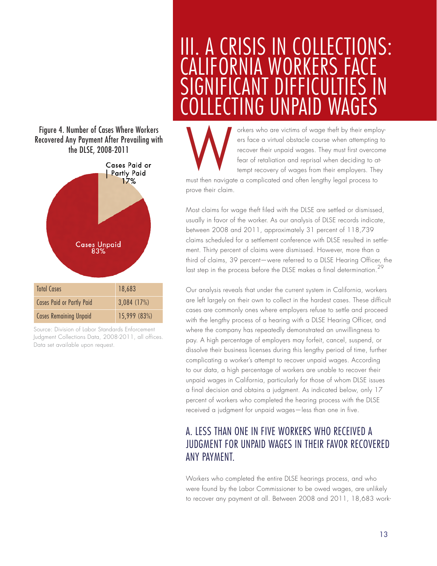



Source: Division of Labor Standards Enforcement Judgment Collections Data, 2008-2011, all offices. Data set available upon request.

# III. A CRISIS IN COLLECTIONS: **IFORNIA WORKERS FACE** FFICULITES I<br>PAID WAGFS TING UNPAID WA

orkers who are victims of wage theft by their employers face a virtual obstacle course when attempting to recover their unpaid wages. They must first overcome fear of retaliation and reprisal when deciding to attempt recovery of wages from their employers. They W

must then navigate a complicated and often lengthy legal process to prove their claim.

Most claims for wage theft filed with the DLSE are settled or dismissed, usually in favor of the worker. As our analysis of DLSE records indicate, between 2008 and 2011, approximately 31 percent of 118,739 claims scheduled for a settlement conference with DLSE resulted in settlement. Thirty percent of claims were dismissed. However, more than a third of claims, 39 percent—were referred to a DLSE Hearing Officer, the last step in the process before the DLSE makes a final determination.<sup>29</sup>

Our analysis reveals that under the current system in California, workers are left largely on their own to collect in the hardest cases. These difficult cases are commonly ones where employers refuse to settle and proceed with the lengthy process of a hearing with a DLSE Hearing Officer, and where the company has repeatedly demonstrated an unwillingness to pay. A high percentage of employers may forfeit, cancel, suspend, or dissolve their business licenses during this lengthy period of time, further complicating a worker's attempt to recover unpaid wages. According to our data, a high percentage of workers are unable to recover their unpaid wages in California, particularly for those of whom DLSE issues a final decision and obtains a judgment. As indicated below, only 17 percent of workers who completed the hearing process with the DLSE received a judgment for unpaid wages—less than one in five.

# A. LESS THAN ONE IN FIVE WORKERS WHO RECEIVED A JUDGMENT FOR UNPAID WAGES IN THEIR FAVOR RECOVERED ANY PAYMENT.

Workers who completed the entire DLSE hearings process, and who were found by the Labor Commissioner to be owed wages, are unlikely to recover any payment at all. Between 2008 and 2011, 18,683 work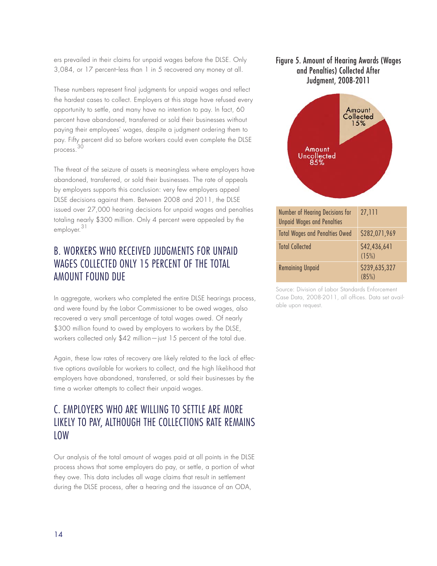ers prevailed in their claims for unpaid wages before the DLSE. Only 3,084, or 17 percent-less than 1 in 5 recovered any money at all.

These numbers represent final judgments for unpaid wages and reflect the hardest cases to collect. Employers at this stage have refused every opportunity to settle, and many have no intention to pay. In fact, 60 percent have abandoned, transferred or sold their businesses without paying their employees' wages, despite a judgment ordering them to pay. Fifty percent did so before workers could even complete the DLSE process. 30

The threat of the seizure of assets is meaningless where employers have abandoned, transferred, or sold their businesses. The rate of appeals by employers supports this conclusion: very few employers appeal DLSE decisions against them. Between 2008 and 2011, the DLSE issued over 27,000 hearing decisions for unpaid wages and penalties totaling nearly \$300 million. Only 4 percent were appealed by the employer.<sup>31</sup>

# B. WORKERS WHO RECEIVED JUDGMENTS FOR UNPAID WAGES COLLECTED ONLY 15 PERCENT OF THE TOTAL AMOUNT FOUND DUE

In aggregate, workers who completed the entire DLSE hearings process, and were found by the Labor Commissioner to be owed wages, also recovered a very small percentage of total wages owed. Of nearly \$300 million found to owed by employers to workers by the DLSE, workers collected only \$42 million—just 15 percent of the total due.

Again, these low rates of recovery are likely related to the lack of effective options available for workers to collect, and the high likelihood that employers have abandoned, transferred, or sold their businesses by the time a worker attempts to collect their unpaid wages.

# C. EMPLOYERS WHO ARE WILLING TO SETTLE ARE MORE LIKELY TO PAY, ALTHOUGH THE COLLECTIONS RATE REMAINS LOW

Our analysis of the total amount of wages paid at all points in the DLSE process shows that some employers do pay, or settle, a portion of what they owe. This data includes all wage claims that result in settlement during the DLSE process, after a hearing and the issuance of an ODA,

#### Figure 5. Amount of Hearing Awards (Wages and Penalties) Collected After Judgment, 2008-2011



Source: Division of Labor Standards Enforcement Case Data, 2008-2011, all offices. Data set available upon request.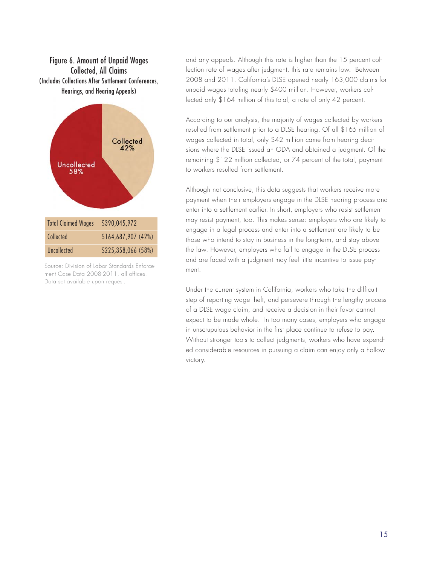#### Figure 6. Amount of Unpaid Wages Collected, All Claims (Includes Collections After Settlement Conferences, Hearings, and Hearing Appeals)



Source: Division of Labor Standards Enforcement Case Data 2008-2011, all offices. Data set available upon request.

and any appeals. Although this rate is higher than the 15 percent collection rate of wages after judgment, this rate remains low. Between 2008 and 2011, California's DLSE opened nearly 163,000 claims for unpaid wages totaling nearly \$400 million. However, workers collected only \$164 million of this total, a rate of only 42 percent.

According to our analysis, the majority of wages collected by workers resulted from settlement prior to a DLSE hearing. Of all \$165 million of wages collected in total, only \$42 million came from hearing decisions where the DLSE issued an ODA and obtained a judgment. Of the remaining \$122 million collected, or 74 percent of the total, payment to workers resulted from settlement.

Although not conclusive, this data suggests that workers receive more payment when their employers engage in the DLSE hearing process and enter into a settlement earlier. In short, employers who resist settlement may resist payment, too. This makes sense: employers who are likely to engage in a legal process and enter into a settlement are likely to be those who intend to stay in business in the long-term, and stay above the law. However, employers who fail to engage in the DLSE process and are faced with a judgment may feel little incentive to issue payment.

Under the current system in California, workers who take the difficult step of reporting wage theft, and persevere through the lengthy process of a DLSE wage claim, and receive a decision in their favor cannot expect to be made whole. In too many cases, employers who engage in unscrupulous behavior in the first place continue to refuse to pay. Without stronger tools to collect judgments, workers who have expended considerable resources in pursuing a claim can enjoy only a hollow victory.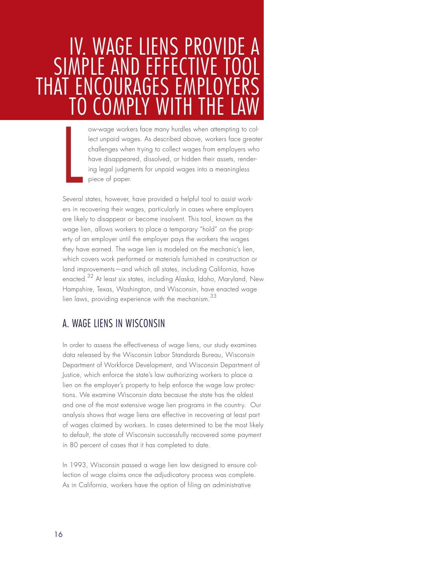# IV. WAGE LIENS PROVIDE A SIMPLE AND EFF THAT ENCOURAGE TO COMPLY WITH THE LAW

ow-wage workers face many hurdles when attempting to collect unpaid wages. As described above, workers face greater challenges when trying to collect wages from employers who have disappeared, dissolved, or hidden their assets, rendering legal judgments for unpaid wages into a meaningless piece of paper.

Several states, however, have provided a helpful tool to assist workers in recovering their wages, particularly in cases where employers are likely to disappear or become insolvent. This tool, known as the wage lien, allows workers to place a temporary "hold" on the property of an employer until the employer pays the workers the wages they have earned. The wage lien is modeled on the mechanic's lien, which covers work performed or materials furnished in construction or land improvements—and which all states, including California, have enacted.<sup>32</sup> At least six states, including Alaska, Idaho, Maryland, New Hampshire, Texas, Washington, and Wisconsin, have enacted wage lien laws, providing experience with the mechanism.<sup>33</sup>

### A. WAGE LIENS IN WISCONSIN

L

In order to assess the effectiveness of wage liens, our study examines data released by the Wisconsin Labor Standards Bureau, Wisconsin Department of Workforce Development, and Wisconsin Department of Justice, which enforce the state's law authorizing workers to place a lien on the employer's property to help enforce the wage law protections. We examine Wisconsin data because the state has the oldest and one of the most extensive wage lien programs in the country. Our analysis shows that wage liens are effective in recovering at least part of wages claimed by workers. In cases determined to be the most likely to default, the state of Wisconsin successfully recovered some payment in 80 percent of cases that it has completed to date.

In 1993, Wisconsin passed a wage lien law designed to ensure collection of wage claims once the adjudicatory process was complete. As in California, workers have the option of filing an administrative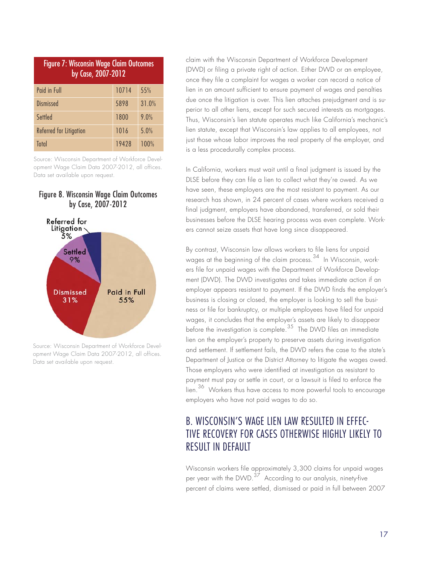| <b>Figure 7: Wisconsin Wage Claim Outcomes</b><br>by Case, 2007-2012 |       |       |
|----------------------------------------------------------------------|-------|-------|
| Paid in Full                                                         | 10714 | 55%   |
| <b>Dismissed</b>                                                     | 5898  | 31.0% |
| Settled                                                              | 1800  | 9.0%  |
| Referred for Litigation                                              | 1016  | 5.0%  |
| Total                                                                | 19428 | 100%  |

Source: Wisconsin Department of Workforce Development Wage Claim Data 2007-2012, all offices. Data set available upon request.

#### Figure 8. Wisconsin Wage Claim Outcomes by Case, 2007-2012



Source: Wisconsin Department of Workforce Development Wage Claim Data 2007-2012, all offices. Data set available upon request.

claim with the Wisconsin Department of Workforce Development (DWD) or filing a private right of action. Either DWD or an employee, once they file a complaint for wages a worker can record a notice of lien in an amount sufficient to ensure payment of wages and penalties due once the litigation is over. This lien attaches prejudgment and is superior to all other liens, except for such secured interests as mortgages. Thus, Wisconsin's lien statute operates much like California's mechanic's lien statute, except that Wisconsin's law applies to all employees, not just those whose labor improves the real property of the employer, and is a less procedurally complex process.

In California, workers must wait until a final judgment is issued by the DLSE before they can file a lien to collect what they're owed. As we have seen, these employers are the most resistant to payment. As our research has shown, in 24 percent of cases where workers received a final judgment, employers have abandoned, transferred, or sold their businesses before the DLSE hearing process was even complete. Workers cannot seize assets that have long since disappeared.

By contrast, Wisconsin law allows workers to file liens for unpaid wages at the beginning of the claim process.<sup>34</sup> In Wisconsin, workers file for unpaid wages with the Department of Workforce Development (DWD). The DWD investigates and takes immediate action if an employer appears resistant to payment. If the DWD finds the employer's business is closing or closed, the employer is looking to sell the business or file for bankruptcy, or multiple employees have filed for unpaid wages, it concludes that the employer's assets are likely to disappear before the investigation is complete.<sup>35</sup> The DWD files an immediate lien on the employer's property to preserve assets during investigation and settlement. If settlement fails, the DWD refers the case to the state's Department of Justice or the District Attorney to litigate the wages owed. Those employers who were identified at investigation as resistant to payment must pay or settle in court, or a lawsuit is filed to enforce the lien.<sup>36</sup> Workers thus have access to more powerful tools to encourage employers who have not paid wages to do so.

# B. WISCONSIN'S WAGE LIEN LAW RESULTED IN EFFEC-TIVE RECOVERY FOR CASES OTHERWISE HIGHLY LIKELY TO RESULT IN DEFAULT

Wisconsin workers file approximately 3,300 claims for unpaid wages per vear with the DWD. $3\frac{1}{2}$  According to our analysis, ninety-five percent of claims were settled, dismissed or paid in full between 2007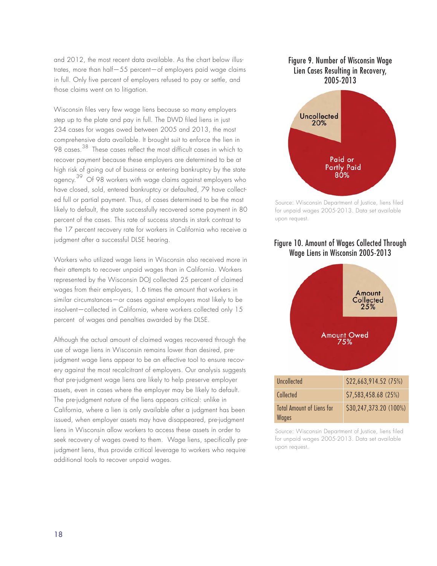and 2012, the most recent data available. As the chart below illustrates, more than half—55 percent—of employers paid wage claims in full. Only five percent of employers refused to pay or settle, and those claims went on to litigation.

Wisconsin files very few wage liens because so many employers step up to the plate and pay in full. The DWD filed liens in just 234 cases for wages owed between 2005 and 2013, the most comprehensive data available. It brought suit to enforce the lien in 98 cases.<sup>38</sup> These cases reflect the most difficult cases in which to recover payment because these employers are determined to be at high risk of going out of business or entering bankruptcy by the state agency.<sup>39</sup> Of 98 workers with wage claims against employers who have closed, sold, entered bankruptcy or defaulted, 79 have collected full or partial payment. Thus, of cases determined to be the most likely to default, the state successfully recovered some payment in 80 percent of the cases. This rate of success stands in stark contrast to the 17 percent recovery rate for workers in California who receive a judgment after a successful DLSE hearing.

Workers who utilized wage liens in Wisconsin also received more in their attempts to recover unpaid wages than in California. Workers represented by the Wisconsin DOJ collected 25 percent of claimed wages from their employers, 1.6 times the amount that workers in similar circumstances—or cases against employers most likely to be insolvent—collected in California, where workers collected only 15 percent of wages and penalties awarded by the DLSE.

Although the actual amount of claimed wages recovered through the use of wage liens in Wisconsin remains lower than desired, prejudgment wage liens appear to be an effective tool to ensure recovery against the most recalcitrant of employers. Our analysis suggests that pre-judgment wage liens are likely to help preserve employer assets, even in cases where the employer may be likely to default. The pre-judgment nature of the liens appears critical: unlike in California, where a lien is only available after a judgment has been issued, when employer assets may have disappeared, pre-judgment liens in Wisconsin allow workers to access these assets in order to seek recovery of wages owed to them. Wage liens, specifically prejudgment liens, thus provide critical leverage to workers who require additional tools to recover unpaid wages.

#### Figure 9. Number of Wisconsin Wage Lien Cases Resulting in Recovery, 2005-2013



Source: Wisconsin Department of Justice, liens filed for unpaid wages 2005-2013. Data set available upon request.

#### Figure 10. Amount of Wages Collected Through Wage Liens in Wisconsin 2005-2013 g



Source: Wisconsin Department of Justice, liens filed for unpaid wages 2005-2013. Data set available upon request.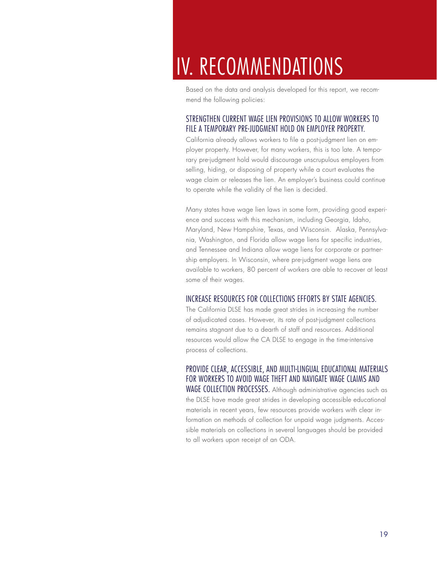# IV. RECOMMENDATIONS

Based on the data and analysis developed for this report, we recommend the following policies:

#### STRENGTHEN CURRENT WAGE LIEN PROVISIONS TO ALLOW WORKERS TO FILE A TEMPORARY PRE-JUDGMENT HOLD ON EMPLOYER PROPERTY.

California already allows workers to file a post-judgment lien on employer property. However, for many workers, this is too late. A temporary pre-judgment hold would discourage unscrupulous employers from selling, hiding, or disposing of property while a court evaluates the wage claim or releases the lien. An employer's business could continue to operate while the validity of the lien is decided.

Many states have wage lien laws in some form, providing good experience and success with this mechanism, including Georgia, Idaho, Maryland, New Hampshire, Texas, and Wisconsin. Alaska, Pennsylvania, Washington, and Florida allow wage liens for specific industries, and Tennessee and Indiana allow wage liens for corporate or partnership employers. In Wisconsin, where pre-judgment wage liens are available to workers, 80 percent of workers are able to recover at least some of their wages.

#### INCREASE RESOURCES FOR COLLECTIONS EFFORTS BY STATE AGENCIES.

The California DLSE has made great strides in increasing the number of adjudicated cases. However, its rate of post-judgment collections remains stagnant due to a dearth of staff and resources. Additional resources would allow the CA DLSE to engage in the time-intensive process of collections.

PROVIDE CLEAR, ACCESSIBLE, AND MULTI-LINGUAL EDUCATIONAL MATERIALS FOR WORKERS TO AVOID WAGE THEFT AND NAVIGATE WAGE CLAIMS AND WAGE COLLECTION PROCESSES. Although administrative agencies such as the DLSE have made great strides in developing accessible educational materials in recent years, few resources provide workers with clear information on methods of collection for unpaid wage judgments. Accessible materials on collections in several languages should be provided to all workers upon receipt of an ODA.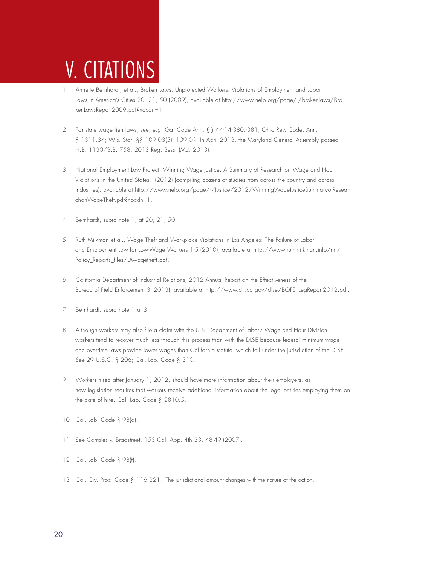# V. CITATIONS

- 1 Annette Bernhardt, et al., Broken Laws, Unprotected Workers: Violations of Employment and Labor Laws In America's Cities 20, 21, 50 (2009), available at http://www.nelp.org/page/-/brokenlaws/BrokenLawsReport2009.pdf?nocdn=1.
- 2 For state wage lien laws, see, e.g. Ga. Code Ann. §§ 44-14-380,-381; Ohio Rev. Code. Ann. § 1311.34; Wis. Stat. §§ 109.03(5), 109.09. In April 2013, the Maryland General Assembly passed H.B. 1130/S.B. 758, 2013 Reg. Sess. (Md. 2013).
- 3 National Employment Law Project, Winning Wage Justice: A Summary of Research on Wage and Hour Violations in the United States, (2012) (compiling dozens of studies from across the country and across industries), available at http://www.nelp.org/page/-/Justice/2012/WinningWageJusticeSummaryofResearchonWageTheft.pdf?nocdn=1.
- 4 Bernhardt, supra note 1, at 20, 21, 50.
- 5 Ruth Milkman et al., Wage Theft and Workplace Violations in Los Angeles: The Failure of Labor and Employment Law for Low-Wage Workers 1-5 (2010), available at http://www.ruthmilkman.info/rm/ Policy\_Reports\_files/LAwagetheft.pdf.
- 6 California Department of Industrial Relations, 2012 Annual Report on the Effectiveness of the Bureau of Field Enforcement 3 (2013), available at http://www.dir.ca.gov/dlse/BOFE\_LegReport2012.pdf.
- 7 Bernhardt, supra note 1 at 3.
- 8 Although workers may also file a claim with the U.S. Department of Labor's Wage and Hour Division, workers tend to recover much less through this process than with the DLSE because federal minimum wage and overtime laws provide lower wages than California statute, which fall under the jurisdiction of the DLSE. See 29 U.S.C. § 206; Cal. Lab. Code § 310.
- 9 Workers hired after January 1, 2012, should have more information about their employers, as new legislation requires that workers receive additional information about the legal entities employing them on the date of hire. Cal. Lab. Code § 2810.5.
- 10 Cal. Lab. Code § 98(a).
- 11 See Corrales v. Bradstreet, 153 Cal. App. 4th 33, 48-49 (2007).
- 12 Cal. Lab. Code § 98(f).
- 13 Cal. Civ. Proc. Code § 116.221. The jurisdictional amount changes with the nature of the action.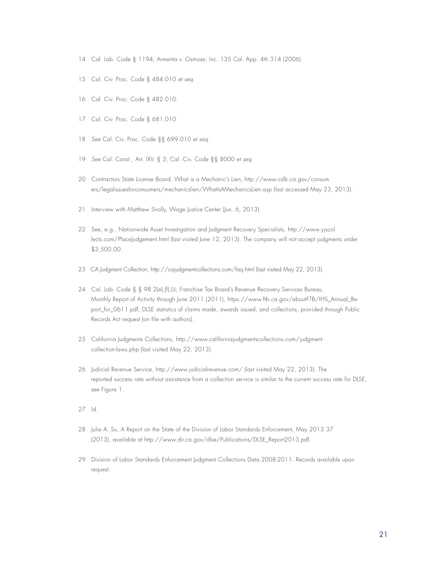- 14 Cal. Lab. Code § 1194; Armenta v. Osmose, Inc. 135 Cal. App. 4th 314 (2006).
- 15 Cal. Civ. Proc. Code § 484.010 et seq.
- 16 Cal. Civ. Proc. Code § 482.010.
- 17 Cal. Civ. Proc. Code § 681.010
- 18 See Cal. Civ. Proc. Code §§ 699.010 et seq.
- 19 See Cal. Const., Art. IXV, § 3; Cal. Civ. Code §§ 8000 et seq.
- 20 Contractors State License Board, What is a Mechanic's Lien, http://www.cslb.ca.gov/consum ers/legalissuesforconsumers/mechanicslien/WhatIsAMechanicsLien.asp (last accessed May 23, 2013).
- 21 Interview with Matthew Sirolly, Wage Justice Center (Jun. 6, 2013).
- 22 See, e.g., Nationwide Asset Investigation and Judgment Recovery Specialists, http://www.yjscol lects.com/PlaceJudgement.html (last visited June 12, 2013). The company will not accept judgments under \$3,500.00.
- 23 CA Judgment Collection, http://cajudgmentcollections.com/faq.html (last visited May 22, 2013).
- 24 Cal. Lab. Code § § 98.2(e),(f),(i); Franchise Tax Board's Revenue Recovery Services Bureau, Monthly Report of Activity through June 2011 (2011), https://www.ftb.ca.gov/aboutFTB/IHS\_Annual\_Report\_for\_0611.pdf; DLSE statistics of claims made, awards issued, and collections, provided through Public Records Act request (on file with authors).
- 25 California Judgments Collections, http://www.californiajudgmentscollections.com/judgmentcollection-laws.php (last visited May 22, 2013).
- 26 Judicial Revenue Service, http://www.judicialrevenue.com/ (last visited May 22, 2013). The reported success rate without assistance from a collection service is similar to the current success rate for DLSE, see Figure 1.
- 27 Id.
- 28 Julie A. Su, A Report on the State of the Division of Labor Standards Enforcement, May 2013 37 (2013), available at http://www.dir.ca.gov/dlse/Publications/DLSE\_Report2013.pdf.
- 29 Division of Labor Standards Enforcement Judgment Collections Data 2008-2011. Records available upon request.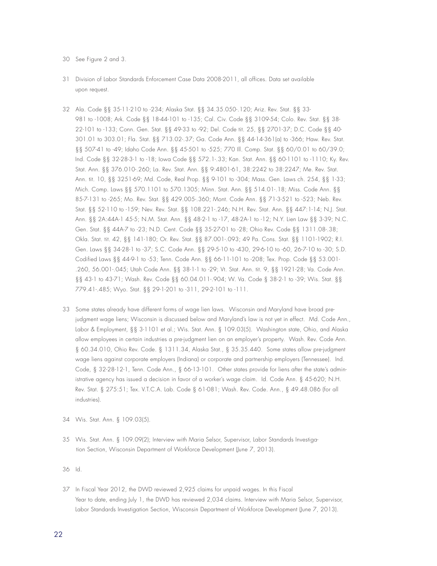- 30 See Figure 2 and 3.
- 31 Division of Labor Standards Enforcement Case Data 2008-2011, all offices. Data set available upon request.
- 32 Ala. Code §§ 35-11-210 to -234; Alaska Stat. §§ 34.35.050-.120; Ariz. Rev. Stat. §§ 33- 981 to -1008; Ark. Code §§ 18-44-101 to -135; Cal. Civ. Code §§ 3109-54; Colo. Rev. Stat. §§ 38- 22-101 to -133; Conn. Gen. Stat. §§ 49-33 to -92; Del. Code tit. 25, §§ 2701-37; D.C. Code §§ 40- 301.01 to 303.01; Fla. Stat. §§ 713.02-.37; Ga. Code Ann. §§ 44-14-361(a) to -366; Haw. Rev. Stat. §§ 507-41 to -49; Idaho Code Ann. §§ 45-501 to -525; 770 Ill. Comp. Stat. §§ 60/0.01 to 60/39.0; Ind. Code §§ 32-28-3-1 to -18; Iowa Code §§ 572.1-.33; Kan. Stat. Ann. §§ 60-1101 to -1110; Ky. Rev. Stat. Ann. §§ 376.010-.260; La. Rev. Stat. Ann. §§ 9:4801-61, 38:2242 to 38:2247; Me. Rev. Stat. Ann. tit. 10, §§ 3251-69; Md. Code, Real Prop. §§ 9-101 to -304; Mass. Gen. Laws ch. 254, §§ 1-33; Mich. Comp. Laws §§ 570.1101 to 570.1305; Minn. Stat. Ann. §§ 514.01-.18; Miss. Code Ann. §§ 85-7-131 to -265; Mo. Rev. Stat. §§ 429.005-.360; Mont. Code Ann. §§ 71-3-521 to -523; Neb. Rev. Stat. §§ 52-110 to -159; Nev. Rev. Stat. §§ 108.221-.246; N.H. Rev. Stat. Ann. §§ 447:1-14; N.J. Stat. Ann. §§ 2A:44A-1 45-5; N.M. Stat. Ann. §§ 48-2-1 to -17, 48-2A-1 to -12; N.Y. Lien Law §§ 3-39; N.C. Gen. Stat. §§ 44A-7 to -23; N.D. Cent. Code §§ 35-27-01 to -28; Ohio Rev. Code §§ 1311.08-.38; Okla. Stat. tit. 42, §§ 141-180; Or. Rev. Stat. §§ 87.001-.093; 49 Pa. Cons. Stat. §§ 1101-1902; R.I. Gen. Laws §§ 34-28-1 to -37; S.C. Code Ann. §§ 29-5-10 to -430, 29-6-10 to -60, 26-7-10 to -30; S.D. Codified Laws §§ 44-9-1 to -53; Tenn. Code Ann. §§ 66-11-101 to -208; Tex. Prop. Code §§ 53.001- .260, 56.001-.045; Utah Code Ann. §§ 38-1-1 to -29; Vt. Stat. Ann. tit. 9, §§ 1921-28; Va. Code Ann. §§ 43-1 to 43-71; Wash. Rev. Code §§ 60.04.011-.904; W. Va. Code § 38-2-1 to -39; Wis. Stat. §§ 779.41-.485; Wyo. Stat. §§ 29-1-201 to -311, 29-2-101 to -111.
- 33 Some states already have different forms of wage lien laws. Wisconsin and Maryland have broad prejudgment wage liens; Wisconsin is discussed below and Maryland's law is not yet in effect. Md. Code Ann., Labor & Employment, §§ 3-1101 et al.; Wis. Stat. Ann. § 109.03(5). Washington state, Ohio, and Alaska allow employees in certain industries a pre-judgment lien on an employer's property. Wash. Rev. Code Ann. § 60.34.010, Ohio Rev. Code. § 1311.34, Alaska Stat., § 35.35.440. Some states allow pre-judgment wage liens against corporate employers (Indiana) or corporate and partnership employers (Tennessee). Ind. Code, § 32-28-12-1, Tenn. Code Ann., § 66-13-101. Other states provide for liens after the state's administrative agency has issued a decision in favor of a worker's wage claim. Id. Code Ann. § 45-620; N.H. Rev. Stat. § 275:51; Tex. V.T.C.A. Lab. Code § 61-081; Wash. Rev. Code. Ann., § 49.48.086 (for all industries).
- 34 Wis. Stat. Ann. § 109.03(5).
- 35 Wis. Stat. Ann. § 109.09(2); Interview with Maria Selsor, Supervisor, Labor Standards Investigation Section, Wisconsin Department of Workforce Development (June 7, 2013).

36 Id.

37 In Fiscal Year 2012, the DWD reviewed 2,925 claims for unpaid wages. In this Fiscal Year to date, ending July 1, the DWD has reviewed 2,034 claims. Interview with Maria Selsor, Supervisor, Labor Standards Investigation Section, Wisconsin Department of Workforce Development (June 7, 2013).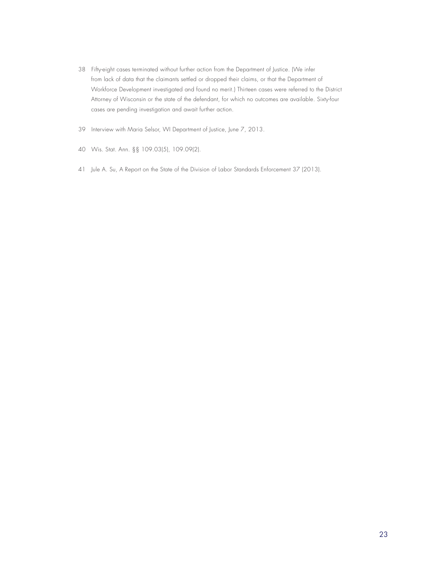- 38 Fifty-eight cases terminated without further action from the Department of Justice. (We infer from lack of data that the claimants settled or dropped their claims, or that the Department of Workforce Development investigated and found no merit.) Thirteen cases were referred to the District Attorney of Wisconsin or the state of the defendant, for which no outcomes are available. Sixty-four cases are pending investigation and await further action.
- 39 Interview with Maria Selsor, WI Department of Justice, June 7, 2013.
- 40 Wis. Stat. Ann. §§ 109.03(5), 109.09(2).
- 41 Jule A. Su, A Report on the State of the Division of Labor Standards Enforcement 37 (2013).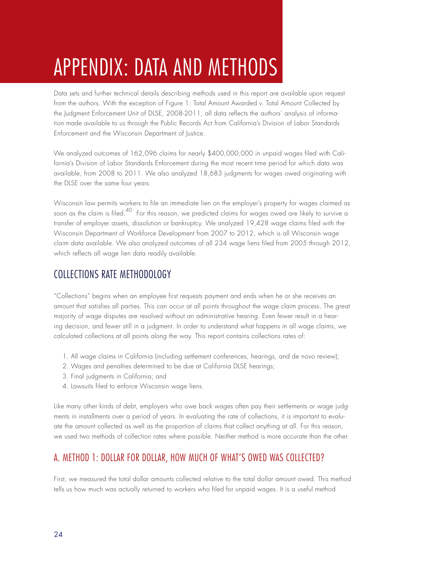# APPENDIX: DATA AND METHODS

Data sets and further technical details describing methods used in this report are available upon request from the authors. With the exception of Figure 1: Total Amount Awarded v. Total Amount Collected by the Judgment Enforcement Unit of DLSE, 2008-2011, all data reflects the authors' analysis of information made available to us through the Public Records Act from California's Division of Labor Standards Enforcement and the Wisconsin Department of Justice.

We analyzed outcomes of 162,096 claims for nearly \$400,000,000 in unpaid wages filed with California's Division of Labor Standards Enforcement during the most recent time period for which data was available, from 2008 to 2011. We also analyzed 18,683 judgments for wages owed originating with the DLSE over the same four years.

Wisconsin law permits workers to file an immediate lien on the employer's property for wages claimed as soon as the claim is filed.<sup>40</sup> For this reason, we predicted claims for wages owed are likely to survive a transfer of employer assets, dissolution or bankruptcy. We analyzed 19,428 wage claims filed with the Wisconsin Department of Workforce Development from 2007 to 2012, which is all Wisconsin wage claim data available. We also analyzed outcomes of all 234 wage liens filed from 2005 through 2012, which reflects all wage lien data readily available.

## COLLECTIONS RATE METHODOLOGY

"Collections" begins when an employee first requests payment and ends when he or she receives an amount that satisfies all parties. This can occur at all points throughout the wage claim process. The great majority of wage disputes are resolved without an administrative hearing. Even fewer result in a hearing decision, and fewer still in a judgment. In order to understand what happens in all wage claims, we calculated collections at all points along the way. This report contains collections rates of:

- 1. All wage claims in California (including settlement conferences, hearings, and de novo review);
- 2. Wages and penalties determined to be due at California DLSE hearings;
- 3. Final judgments in California; and
- 4. Lawsuits filed to enforce Wisconsin wage liens.

Like many other kinds of debt, employers who owe back wages often pay their settlements or wage judgments in installments over a period of years. In evaluating the rate of collections, it is important to evaluate the amount collected as well as the proportion of claims that collect anything at all. For this reason, we used two methods of collection rates where possible. Neither method is more accurate than the other.

### A. METHOD 1: DOLLAR FOR DOLLAR, HOW MUCH OF WHAT'S OWED WAS COLLECTED?

First, we measured the total dollar amounts collected relative to the total dollar amount owed. This method tells us how much was actually returned to workers who filed for unpaid wages. It is a useful method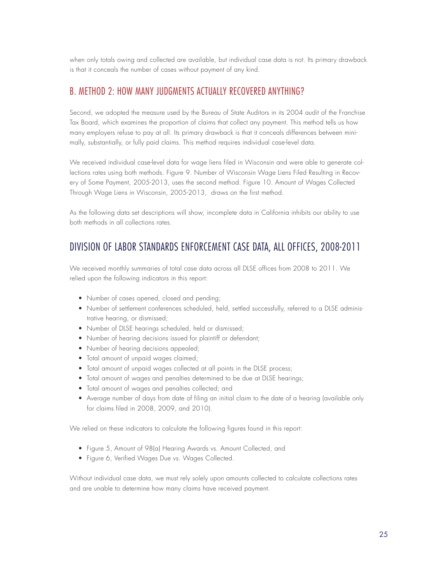when only totals owing and collected are available, but individual case data is not. Its primary drawback is that it conceals the number of cases without payment of any kind.

#### B. METHOD 2: HOW MANY JUDGMENTS ACTUALLY RECOVERED ANYTHING?

Second, we adopted the measure used by the Bureau of State Auditors in its 2004 audit of the Franchise Tax Board, which examines the proportion of claims that collect any payment. This method tells us how many employers refuse to pay at all. Its primary drawback is that it conceals differences between minimally, substantially, or fully paid claims. This method requires individual case-level data.

We received individual case-level data for wage liens filed in Wisconsin and were able to generate collections rates using both methods. Figure 9. Number of Wisconsin Wage Liens Filed Resulting in Recovery of Some Payment, 2005-2013, uses the second method. Figure 10. Amount of Wages Collected Through Wage Liens in Wisconsin, 2005-2013, draws on the first method.

As the following data set descriptions will show, incomplete data in California inhibits our ability to use both methods in all collections rates.

### DIVISION OF LABOR STANDARDS ENFORCEMENT CASE DATA, ALL OFFICES, 2008-2011

We received monthly summaries of total case data across all DLSE offices from 2008 to 2011. We relied upon the following indicators in this report:

- Number of cases opened, closed and pending;
- Number of settlement conferences scheduled, held, settled successfully, referred to a DLSE administrative hearing, or dismissed;
- Number of DLSE hearings scheduled, held or dismissed;
- Number of hearing decisions issued for plaintiff or defendant;
- Number of hearing decisions appealed;
- Total amount of unpaid wages claimed;
- Total amount of unpaid wages collected at all points in the DLSE process;
- Total amount of wages and penalties determined to be due at DLSE hearings;
- Total amount of wages and penalties collected; and
- Average number of days from date of filing an initial claim to the date of a hearing (available only for claims filed in 2008, 2009, and 2010).

We relied on these indicators to calculate the following figures found in this report:

- Figure 5, Amount of 98(a) Hearing Awards vs. Amount Collected, and
- Figure 6, Verified Wages Due vs. Wages Collected.

Without individual case data, we must rely solely upon amounts collected to calculate collections rates and are unable to determine how many claims have received payment.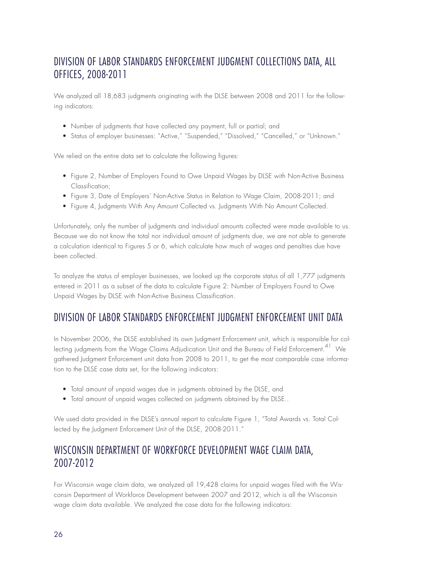# DIVISION OF LABOR STANDARDS ENFORCEMENT JUDGMENT COLLECTIONS DATA, ALL OFFICES, 2008-2011

We analyzed all 18,683 judgments originating with the DLSE between 2008 and 2011 for the following indicators:

- Number of judgments that have collected any payment, full or partial; and
- Status of employer businesses: "Active," "Suspended," "Dissolved," "Cancelled," or "Unknown."

We relied on the entire data set to calculate the following figures:

- Figure 2, Number of Employers Found to Owe Unpaid Wages by DLSE with Non-Active Business Classification;
- Figure 3, Date of Employers' Non-Active Status in Relation to Wage Claim, 2008-2011; and
- Figure 4, Judgments With Any Amount Collected vs. Judgments With No Amount Collected.

Unfortunately, only the number of judgments and individual amounts collected were made available to us. Because we do not know the total nor individual amount of judgments due, we are not able to generate a calculation identical to Figures 5 or 6, which calculate how much of wages and penalties due have been collected.

To analyze the status of employer businesses, we looked up the corporate status of all 1,777 judgments entered in 2011 as a subset of the data to calculate Figure 2: Number of Employers Found to Owe Unpaid Wages by DLSE with Non-Active Business Classification.

### DIVISION OF LABOR STANDARDS ENFORCEMENT JUDGMENT ENFORCEMENT UNIT DATA

In November 2006, the DLSE established its own Judgment Enforcement unit, which is responsible for collecting judgments from the Wage Claims Adjudication Unit and the Bureau of Field Enforcement.<sup>41</sup> We gathered Judgment Enforcement unit data from 2008 to 2011, to get the most comparable case information to the DLSE case data set, for the following indicators:

- Total amount of unpaid wages due in judgments obtained by the DLSE, and
- Total amount of unpaid wages collected on judgments obtained by the DLSE..

We used data provided in the DLSE's annual report to calculate Figure 1, "Total Awards vs. Total Collected by the Judgment Enforcement Unit of the DLSE, 2008-2011."

## WISCONSIN DEPARTMENT OF WORKFORCE DEVELOPMENT WAGE CLAIM DATA, 2007-2012

For Wisconsin wage claim data, we analyzed all 19,428 claims for unpaid wages filed with the Wisconsin Department of Workforce Development between 2007 and 2012, which is all the Wisconsin wage claim data available. We analyzed the case data for the following indicators: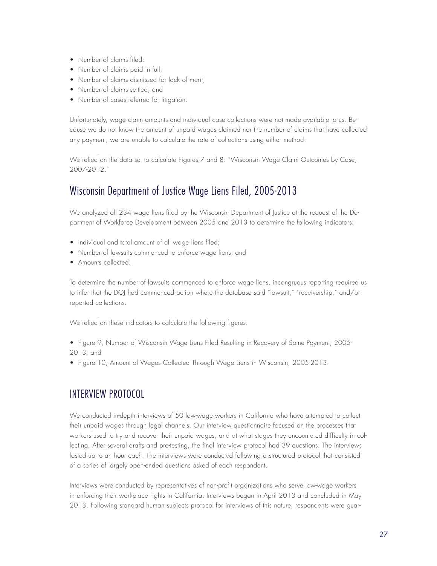- Number of claims filed;
- Number of claims paid in full;
- Number of claims dismissed for lack of merit;
- Number of claims settled; and
- Number of cases referred for litigation.

Unfortunately, wage claim amounts and individual case collections were not made available to us. Because we do not know the amount of unpaid wages claimed nor the number of claims that have collected any payment, we are unable to calculate the rate of collections using either method.

We relied on the data set to calculate Figures 7 and 8: "Wisconsin Wage Claim Outcomes by Case, 2007-2012."

# Wisconsin Department of Justice Wage Liens Filed, 2005-2013

We analyzed all 234 wage liens filed by the Wisconsin Department of Justice at the request of the Department of Workforce Development between 2005 and 2013 to determine the following indicators:

- Individual and total amount of all wage liens filed;
- Number of lawsuits commenced to enforce wage liens; and
- Amounts collected.

To determine the number of lawsuits commenced to enforce wage liens, incongruous reporting required us to infer that the DOJ had commenced action where the database said "lawsuit," "receivership," and/or reported collections.

We relied on these indicators to calculate the following figures:

• Figure 9, Number of Wisconsin Wage Liens Filed Resulting in Recovery of Some Payment, 2005- 2013; and

• Figure 10, Amount of Wages Collected Through Wage Liens in Wisconsin, 2005-2013.

# INTERVIEW PROTOCOL

We conducted in-depth interviews of 50 low-wage workers in California who have attempted to collect their unpaid wages through legal channels. Our interview questionnaire focused on the processes that workers used to try and recover their unpaid wages, and at what stages they encountered difficulty in collecting. After several drafts and pre-testing, the final interview protocol had 39 questions. The interviews lasted up to an hour each. The interviews were conducted following a structured protocol that consisted of a series of largely open-ended questions asked of each respondent.

Interviews were conducted by representatives of non-profit organizations who serve low-wage workers in enforcing their workplace rights in California. Interviews began in April 2013 and concluded in May 2013. Following standard human subjects protocol for interviews of this nature, respondents were guar-